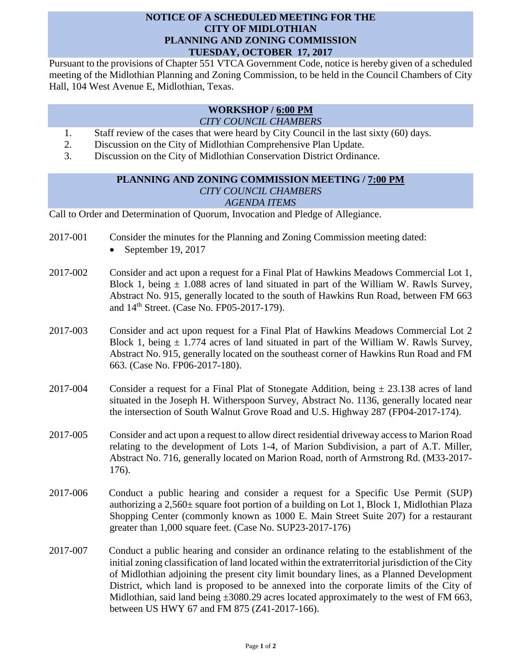## **NOTICE OF A SCHEDULED MEETING FOR THE CITY OF MIDLOTHIAN PLANNING AND ZONING COMMISSION TUESDAY, OCTOBER 17, 2017**

Pursuant to the provisions of Chapter 551 VTCA Government Code, notice is hereby given of a scheduled meeting of the Midlothian Planning and Zoning Commission, to be held in the Council Chambers of City Hall, 104 West Avenue E, Midlothian, Texas.

## **WORKSHOP / 6:00 PM** *CITY COUNCIL CHAMBERS*

- 1. Staff review of the cases that were heard by City Council in the last sixty (60) days.
- 2. Discussion on the City of Midlothian Comprehensive Plan Update.
- 3. Discussion on the City of Midlothian Conservation District Ordinance.

## **PLANNING AND ZONING COMMISSION MEETING / 7:00 PM** *CITY COUNCIL CHAMBERS AGENDA ITEMS*

Call to Order and Determination of Quorum, Invocation and Pledge of Allegiance.

- 2017-001 Consider the minutes for the Planning and Zoning Commission meeting dated:
	- September 19, 2017
- 2017-002 Consider and act upon a request for a Final Plat of Hawkins Meadows Commercial Lot 1, Block 1, being  $\pm$  1.088 acres of land situated in part of the William W. Rawls Survey, Abstract No. 915, generally located to the south of Hawkins Run Road, between FM 663 and 14th Street. (Case No. FP05-2017-179).
- 2017-003 Consider and act upon request for a Final Plat of Hawkins Meadows Commercial Lot 2 Block 1, being  $\pm$  1.774 acres of land situated in part of the William W. Rawls Survey, Abstract No. 915, generally located on the southeast corner of Hawkins Run Road and FM 663. (Case No. FP06-2017-180).
- 2017-004 Consider a request for a Final Plat of Stonegate Addition, being  $\pm$  23.138 acres of land situated in the Joseph H. Witherspoon Survey, Abstract No. 1136, generally located near the intersection of South Walnut Grove Road and U.S. Highway 287 (FP04-2017-174).
- 2017-005 Consider and act upon a request to allow direct residential driveway access to Marion Road relating to the development of Lots 1-4, of Marion Subdivision, a part of A.T. Miller, Abstract No. 716, generally located on Marion Road, north of Armstrong Rd. (M33-2017- 176).
- 2017-006 Conduct a public hearing and consider a request for a Specific Use Permit (SUP) authorizing a  $2.560\pm$  square foot portion of a building on Lot 1, Block 1, Midlothian Plaza Shopping Center (commonly known as 1000 E. Main Street Suite 207) for a restaurant greater than 1,000 square feet. (Case No. SUP23-2017-176)
- 2017-007 Conduct a public hearing and consider an ordinance relating to the establishment of the initial zoning classification of land located within the extraterritorial jurisdiction of the City of Midlothian adjoining the present city limit boundary lines, as a Planned Development District, which land is proposed to be annexed into the corporate limits of the City of Midlothian, said land being  $\pm 3080.29$  acres located approximately to the west of FM 663, between US HWY 67 and FM 875 (Z41-2017-166).